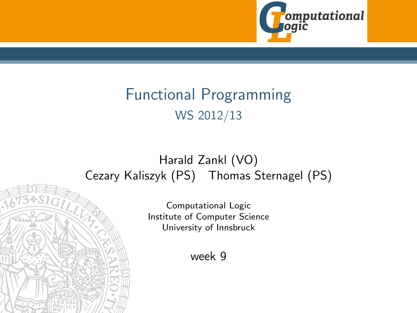

# Functional Programming WS 2012/13

#### <span id="page-0-0"></span>Harald Zankl (VO) Cezary Kaliszyk (PS) Thomas Sternagel (PS)

Computational Logic Institute of Computer Science University of Innsbruck

week 9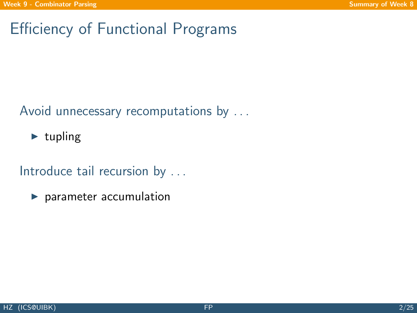# Efficiency of Functional Programs

#### Avoid unnecessary recomputations by ...

 $\blacktriangleright$  tupling

#### Introduce tail recursion by ...

<span id="page-1-0"></span> $\blacktriangleright$  parameter accumulation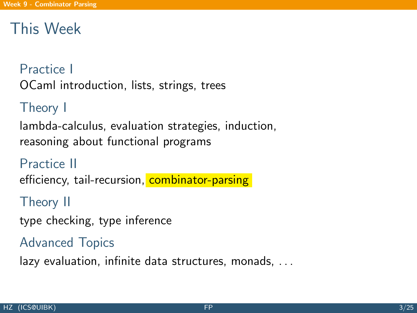## This Week

#### Practice I

OCaml introduction, lists, strings, trees

## Theory I

lambda-calculus, evaluation strategies, induction, reasoning about functional programs

### Practice II

efficiency, tail-recursion, combinator-parsing

### Theory II

type checking, type inference

### Advanced Topics

lazy evaluation, infinite data structures, monads, . . .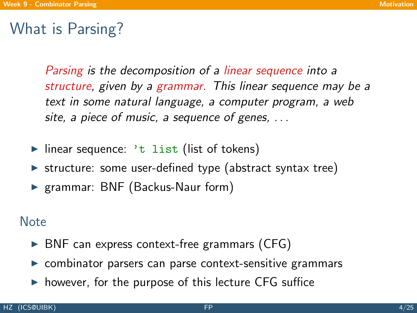## What is Parsing?

Parsing is the decomposition of a linear sequence into a structure, given by a grammar. This linear sequence may be a text in some natural language, a computer program, a web site, a piece of music, a sequence of genes, ...

- $\blacktriangleright$  linear sequence: 't list (list of tokens)
- $\triangleright$  structure: some user-defined type (abstract syntax tree)
- ▶ grammar: BNF (Backus-Naur form)

#### **Note**

- $\triangleright$  BNF can express context-free grammars (CFG)
- $\triangleright$  combinator parsers can parse context-sensitive grammars
- <span id="page-3-0"></span> $\triangleright$  however, for the purpose of this lecture CFG suffice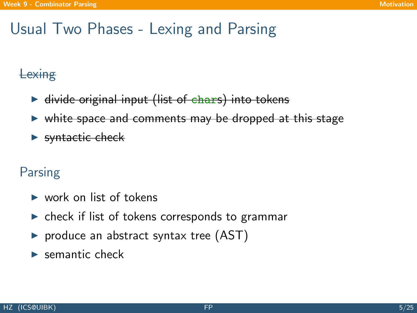## Usual Two Phases - Lexing and Parsing

### **Lexing**

- $\triangleright$  divide original input (list of chars) into tokens
- white space and comments may be dropped at this stage
- $\blacktriangleright$  syntactic check

### Parsing

- $\blacktriangleright$  work on list of tokens
- $\triangleright$  check if list of tokens corresponds to grammar
- $\triangleright$  produce an abstract syntax tree (AST)
- $\blacktriangleright$  semantic check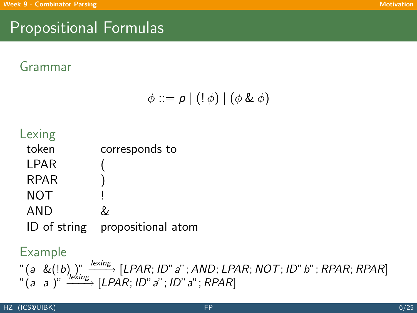# Propositional Formulas

### Grammar

$$
\phi ::= p \mid (!\phi) \mid (\phi \& \phi)
$$



#### Example

 $\mathcal{C}^{''}(a \ \ \&(!b\hspace{0.1cm}])\ \stackrel{\textit{lexing}}{\longrightarrow}\ [\textit{LPAR};\textit{ID}''\textit{a}''\text{; AND};\textit{LPAR};\textit{NOT};\textit{ID}''\textit{b}''\text{; RPAR};\textit{RPAR}]\,.$  $\tilde{a}$   $(a \ a \ )$ " $\xrightarrow{7 \text{l} \acute{e} \acute{s} \text{ing}}$  [LPAR; ID" $a$ "; ID" $a$ "; RPAR]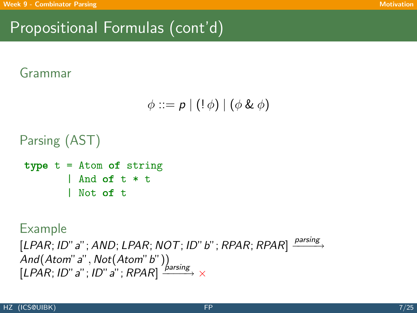# Propositional Formulas (cont'd)

## Grammar

$$
\phi ::= p \mid (!\phi) \mid (\phi \& \phi)
$$

```
Parsing (AST)
type t = Atom of string
```

```
| And of t * t
 Not of t
```
#### Example

 $[LPAR; ID" a" ; AND; LPAR; NOT; ID" b" ; RPAR; RPAR] \xrightarrow{parsing}$ And(Atom" a" , Not(Atom" b" ))  $[LPAR; ID" a" ; ID" a" ; RPAR] \xrightarrow{\textit{farsing}} \times$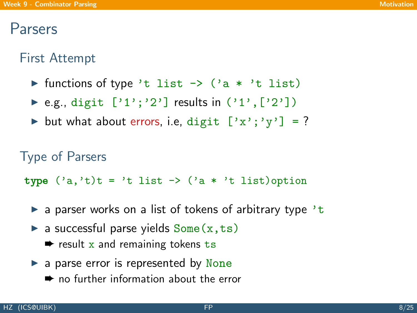## Parsers

## First Attempt

- In functions of type 't list  $\rightarrow$  ('a \* 't list)
- ▶ e.g., digit  $['1'; '2']$  results in  $('1', ['2'])$
- but what about errors, i.e, digit  $['x'; 'y'] = ?$

```
Type of Parsers
type ('a.'t)t = 't list -> ('a * 't list)option
```
- $\triangleright$  a parser works on a list of tokens of arbitrary type 't
- $\triangleright$  a successful parse yields  $Some(x,ts)$ 
	- $\rightarrow$  result x and remaining tokens ts
- $\blacktriangleright$  a parse error is represented by None
	- $\rightarrow$  no further information about the error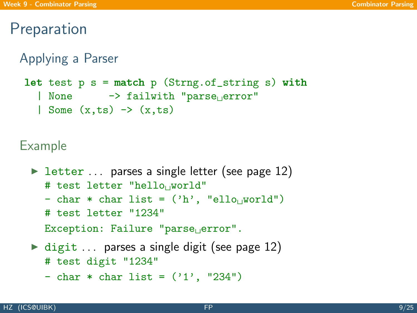## Preparation

```
Applying a Parser
```

```
let test p s = match p (Strng.of_string s) with
  | None \rightarrow failwith "parse error"
  | Some (x, ts) \rightarrow (x, ts)
```

```
letter \ldots parses a single letter (see page 12)
  # test letter "hello world"
  - char * char list = ('h', "ello] world")
  # test letter "1234"
  Exception: Failure "parse_Uerror".\triangleright digit ... parses a single digit (see page 12)
  # test digit "1234"
```

```
- char * char list = ('1', '234")
```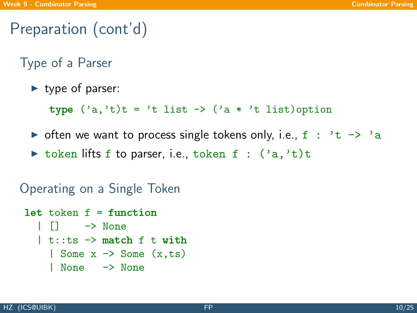# Preparation (cont'd)

Type of a Parser

 $\blacktriangleright$  type of parser:

type  $('a,'t)t = 't$  list  $\rightarrow ('a * 't$  list)option

- $\triangleright$  often we want to process single tokens only, i.e., f : 't -> 'a
- $\triangleright$  token lifts f to parser, i.e., token f :  $('a,'t)t$

Operating on a Single Token

```
let token f = function| [] -> None
   | t : t : t s \rightarrow \text{match} f t \text{ with}| Some x \rightarrow Some (x, ts)| None -> None
```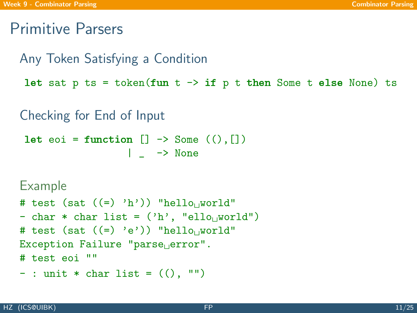## Primitive Parsers

```
Any Token Satisfying a Condition
let sat p ts = token(fun t \rightarrow if p t then Some t else None) ts
Checking for End of Input
let eoi = function [] \rightarrow Some ((), [])| - \rangle None
Example
```

```
# test (sat ((=) 'h')) "hello world"
- char * char list = ('h', 'ello, word d")# test (sat ((=) 'e')) "hello world"
Exception Failure "parse error".
# test eoi ""
- : unit * char list = ( ( ), " ")
```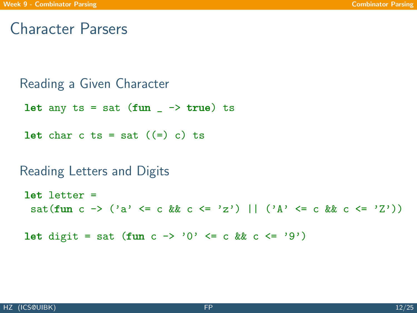## Character Parsers

```
Reading a Given Character
```
let any ts = sat (fun  $\rightarrow$  true) ts

let char c ts = sat  $((=) c)$  ts

#### Reading Letters and Digits

```
let letter =
 sat(fun c -> ('a' <= c && c <= 'z') || ('A' <= c && c <= 'Z'))
```

```
let digit = sat (fun c -> '0' <= c && c <= '9')
```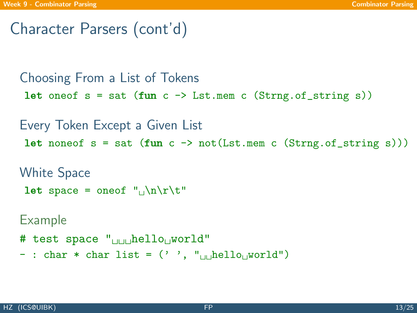## Character Parsers (cont'd)

```
Choosing From a List of Tokens
let oneof s = sat (fun c \rightarrow Lst.mem c (Strng.of_string s))
Every Token Except a Given List
let noneof s = sat (fun c \rightarrow not(Lst.mem c (Strng.of_string s)))
White Space
let space = oneof "_1\n\cdot\nt"Example
# test space \mathbb{I}_{\text{min}} hello world"
- : char * char list = (''), "\muhello world")
```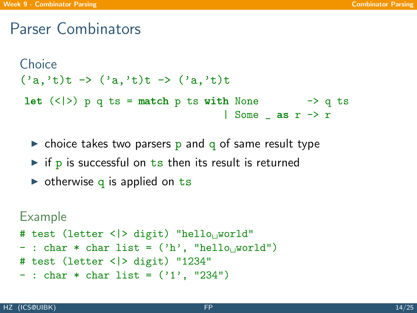## Parser Combinators

```
Choice
('a,'t)t -> ('a,'t)t -> ('a,'t)tlet (\langle \rangle) p q ts = match p ts with None -> q ts
                                    | Some as r \rightarrow r
```
- $\triangleright$  choice takes two parsers p and q of same result type
- $\triangleright$  if p is successful on ts then its result is returned
- $\triangleright$  otherwise q is applied on ts

```
Example
```

```
# test (letter < |> digit) "hello<sub>u</sub>world"
```
- : char  $*$  char list =  $('h', 'hello, world")$
- # test (letter <|> digit) "1234"
- $-$ : char \* char list =  $('1', '234")$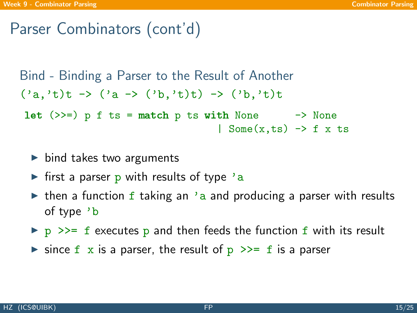## Parser Combinators (cont'd)

```
Bind - Binding a Parser to the Result of Another
('a,'t)t \rightarrow ('a \rightarrow ('b,'t)t) \rightarrow ('b,'t)tlet (\gg)= p f ts = match p ts with None \rightarrow None
                                         | Some(x, ts) \rightarrow f x ts
```
- $\triangleright$  bind takes two arguments
- If first a parser p with results of type  $a$
- $\triangleright$  then a function f taking an 'a and producing a parser with results of type 'b
- $\triangleright$  p >>= f executes p and then feeds the function f with its result
- ighthrow since f x is a parser, the result of  $p \gg f$  is a parser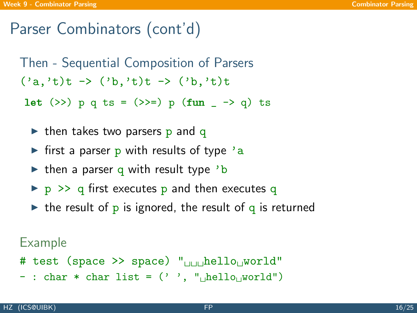## Parser Combinators (cont'd)

Then - Sequential Composition of Parsers  $('a,'t)t -> ('b,'t)t -> ('b,'t)t$ 

let  $(\gg)$  p q ts =  $(\gg)$  p  $(fun - \sim q)$  ts

- $\triangleright$  then takes two parsers p and q
- If first a parser p with results of type  $a$
- $\triangleright$  then a parser q with result type 'b
- $\triangleright$  p  $\triangleright$  q first executes p and then executes q
- $\triangleright$  the result of p is ignored, the result of q is returned

- # test (space >> space)  $\mathbf{F}_{\text{full}}$  hello world"
- : char \* char list =  $('')$ , " $\mu$ hello $\mu$ world")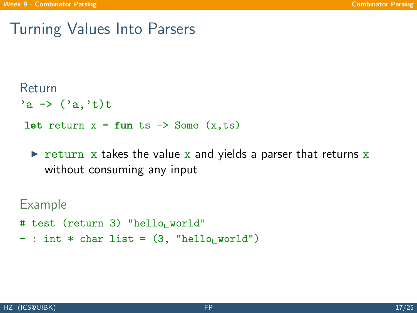## Turning Values Into Parsers

### Return

 $a \rightarrow$   $(2a, 2b)$ t

```
let return x = \text{fun ts} \rightarrow \text{Some } (x, ts)
```
return x takes the value x and yields a parser that returns  $x$ without consuming any input

- # test (return 3) "hello<sub>u</sub> world"
- $-$ : int  $*$  char list =  $(3, "hello, world")$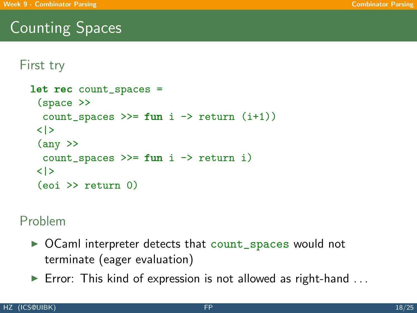# Counting Spaces

```
First try
  let rec count_spaces =
   (space >>
    count_spaces >>= fun i \rightarrow return (i+1))
   <|>\langle any \ranglecount_spaces \gg= fun i -> return i)
   <|>
   (eoi >> return 0)
```
### Problem

- $\triangleright$  OCaml interpreter detects that count\_spaces would not terminate (eager evaluation)
- $\blacktriangleright$  Error: This kind of expression is not allowed as right-hand ...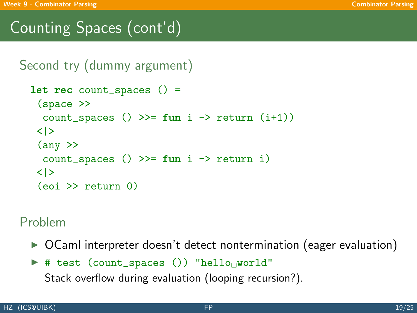# Counting Spaces (cont'd)

```
Second try (dummy argument)
```

```
let rec count spaces () =
 (space >>
  count_spaces () >>= fun i -> return (i+1))
 <|>\langle any \ranglecount_spaces () >>= fun i -> return i)
 <|>
 (eoi \geq) return (0)
```
#### Problem

▶ OCaml interpreter doesn't detect nontermination (eager evaluation)

```
# test (count_spaces ()) "hello_{\cup}world"
```
Stack overflow during evaluation (looping recursion?).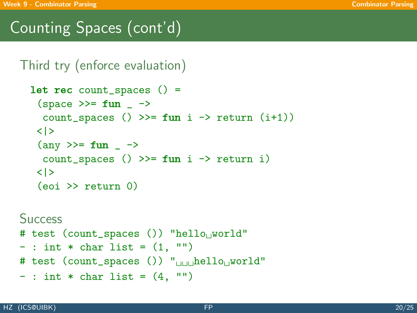# Counting Spaces (cont'd)

#### Third try (enforce evaluation)

```
let rec count spaces () =
 (space \ge)= fun \longrightarrowcount_spaces () >>= fun i -> return (i+1))
 \langle | \rangle\langle any \rangle > = fun \angle ->
  count_spaces () >>= fun i -> return i)
 <|>(eoi \geq) return (0)
```
#### **Success**

```
# test (count_spaces ()) "hello<sub>U</sub>world"
```
- $-$  : int  $*$  char list =  $(1, "")$
- # test (count\_spaces ())  $"$ <sub>UUU</sub>hello<sub>U</sub>world"

```
- : int * char list = (4, "")
```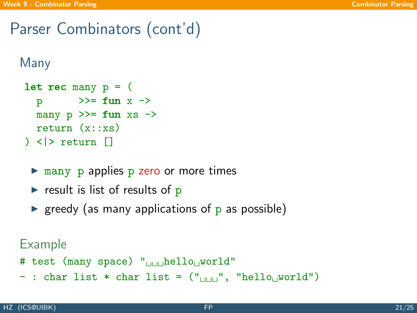## Parser Combinators (cont'd)

#### Many

```
let rec many p = 0p \Rightarrow = fun x ->
  many p \gg = fun xs \rightarrowreturn (x::xs)
) \langle \rangle return \Box
```
- $\triangleright$  many p applies p zero or more times
- result is list of results of  $p$
- $\triangleright$  greedy (as many applications of p as possible)

- # test (many space) "<sub>UUU</sub>hello<sub>U</sub>world"
- : char list  $*$  char list =  $("_{\text{num}}",$  "hello<sub>[[</sub>world"]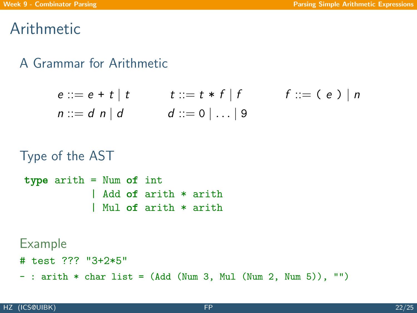## Arithmetic

### A Grammar for Arithmetic

$$
e ::= e + t | t \t t ::= t * f | f \t f ::= (e) | n
$$
  
n ::= d n | d \t d ::= 0 | ... | 9

```
Type of the AST
type arith = Num of int
            | Add of arith * arith
            | Mul of arith * arith
```
- # test ??? "3+2\*5"
- <span id="page-21-0"></span> $-$ : arith  $*$  char list = (Add (Num 3, Mul (Num 2, Num 5)), "")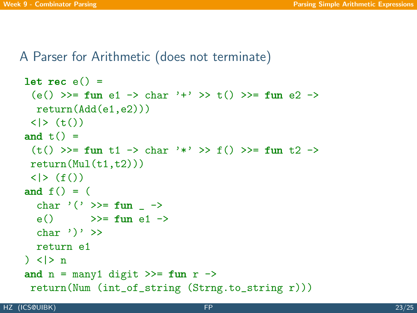A Parser for Arithmetic (does not terminate)

```
let rec e() =(e() \gg = \text{fun } e1 \to \text{char } '+' \gg t() \gg = \text{fun } e2 \toreturn(Add(e1,e2)))
 \langle | \rangle (t())
and f() =(t() \gg = \text{fun } t1 \to \text{char } '*) \gg f() \gg = \text{fun } t2 \toreturn(Mul(t1,t2)))\langle | \rangle (f())
and f() = (char '(') >>= fun ->
  e() \gg= fun e1 ->
  char ')' \ggreturn e1
) \langle |> n
and n = \text{many1 digit} >>= fun r \rightarrowreturn(Num (int_of_string (Strng.to_string r)))
```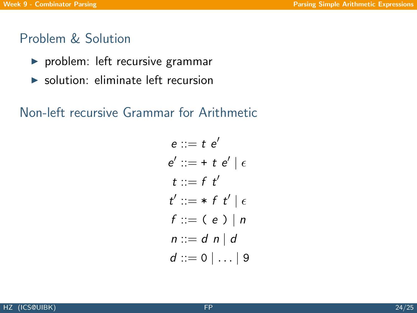#### Problem & Solution

- $\blacktriangleright$  problem: left recursive grammar
- $\triangleright$  solution: eliminate left recursion

### Non-left recursive Grammar for Arithmetic

$$
e ::= t e'
$$
  
\n
$$
e' ::= t t e' | \epsilon
$$
  
\n
$$
t ::= f t'
$$
  
\n
$$
t' ::= * t t' | \epsilon
$$
  
\n
$$
f ::= (e) | n
$$
  
\n
$$
n ::= d n | d
$$
  
\n
$$
d ::= 0 | ... | 9
$$